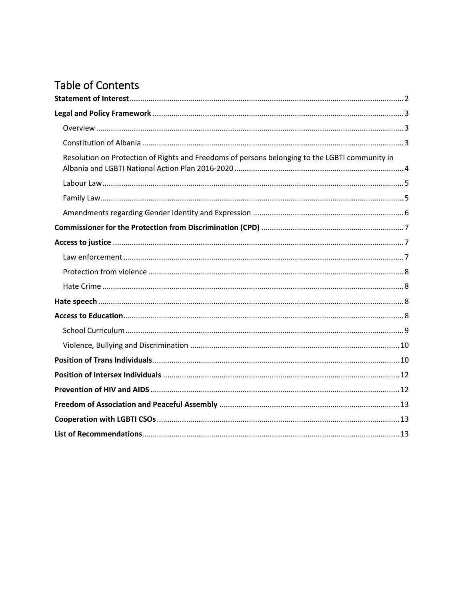# **Table of Contents**

| Resolution on Protection of Rights and Freedoms of persons belonging to the LGBTI community in |  |
|------------------------------------------------------------------------------------------------|--|
|                                                                                                |  |
|                                                                                                |  |
|                                                                                                |  |
|                                                                                                |  |
|                                                                                                |  |
|                                                                                                |  |
|                                                                                                |  |
|                                                                                                |  |
|                                                                                                |  |
|                                                                                                |  |
|                                                                                                |  |
|                                                                                                |  |
|                                                                                                |  |
|                                                                                                |  |
|                                                                                                |  |
|                                                                                                |  |
|                                                                                                |  |
|                                                                                                |  |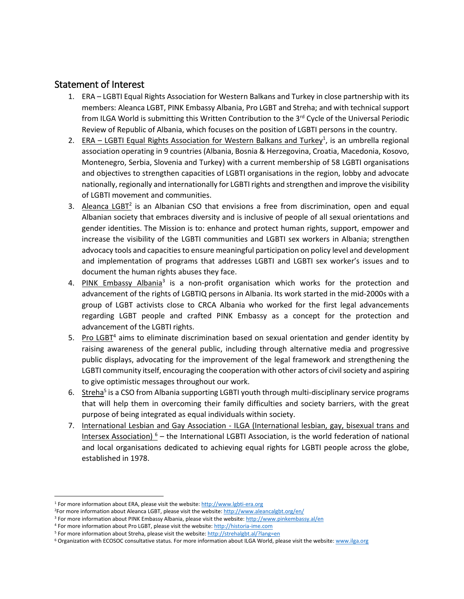### <span id="page-1-0"></span>Statement of Interest

- 1. ERA LGBTI Equal Rights Association for Western Balkans and Turkey in close partnership with its members: Aleanca LGBT, PINK Embassy Albania, Pro LGBT and Streha; and with technical support from ILGA World is submitting this Written Contribution to the 3<sup>rd</sup> Cycle of the Universal Periodic Review of Republic of Albania, which focuses on the position of LGBTI persons in the country.
- 2. ERA LGBTI Equal Rights Association for Western Balkans and Turkey<sup>1</sup>, is an umbrella regional association operating in 9 countries (Albania, Bosnia & Herzegovina, Croatia, Macedonia, Kosovo, Montenegro, Serbia, Slovenia and Turkey) with a current membership of 58 LGBTI organisations and objectives to strengthen capacities of LGBTI organisations in the region, lobby and advocate nationally, regionally and internationally for LGBTI rights and strengthen and improve the visibility of LGBTI movement and communities.
- 3. Aleanca LGBT<sup>2</sup> is an Albanian CSO that envisions a free from discrimination, open and equal Albanian society that embraces diversity and is inclusive of people of all sexual orientations and gender identities. The Mission is to: enhance and protect human rights, support, empower and increase the visibility of the LGBTI communities and LGBTI sex workers in Albania; strengthen advocacy tools and capacities to ensure meaningful participation on policy level and development and implementation of programs that addresses LGBTI and LGBTI sex worker's issues and to document the human rights abuses they face.
- 4. PINK Embassy Albania<sup>3</sup> is a non-profit organisation which works for the protection and advancement of the rights of LGBTIQ persons in Albania. Its work started in the mid-2000s with a group of LGBT activists close to CRCA Albania who worked for the first legal advancements regarding LGBT people and crafted PINK Embassy as a concept for the protection and advancement of the LGBTI rights.
- 5. Pro LGBT<sup>4</sup> aims to eliminate discrimination based on sexual orientation and gender identity by raising awareness of the general public, including through alternative media and progressive public displays, advocating for the improvement of the legal framework and strengthening the LGBTI community itself, encouraging the cooperation with other actors of civil society and aspiring to give optimistic messages throughout our work.
- 6. Streha<sup>5</sup> is a CSO from Albania supporting LGBTI youth through multi-disciplinary service programs that will help them in overcoming their family difficulties and society barriers, with the great purpose of being integrated as equal individuals within society.
- 7. International Lesbian and Gay Association ILGA (International lesbian, gay, bisexual trans and Intersex Association)  $6 -$  the International LGBTI Association, is the world federation of national and local organisations dedicated to achieving equal rights for LGBTI people across the globe, established in 1978.

 $\overline{\phantom{a}}$ 

<sup>&</sup>lt;sup>1</sup> For more information about ERA, please visit the website: [http://www.lgbti-era.org](http://www.lgbti-era.org/)

<sup>&</sup>lt;sup>2</sup>For more information about Aleanca LGBT, please visit the website[: http://www.aleancalgbt.org/en/](http://www.aleancalgbt.org/en/)

<sup>&</sup>lt;sup>3</sup> For more information about PINK Embassy Albania, please visit the website[: http://www.pinkembassy.al/en](http://www.pinkembassy.al/en)

<sup>4</sup> For more information about Pro LGBT, please visit the website[: http://historia-ime.com](http://historia-ime.com/)

<sup>&</sup>lt;sup>5</sup> For more information about Streha, please visit the website[: http://strehalgbt.al/?lang=en](http://strehalgbt.al/?lang=en)

<sup>&</sup>lt;sup>6</sup> Organization with ECOSOC consultative status. For more information about ILGA World, please visit the website: [www.ilga.org](http://www.ilga.org/)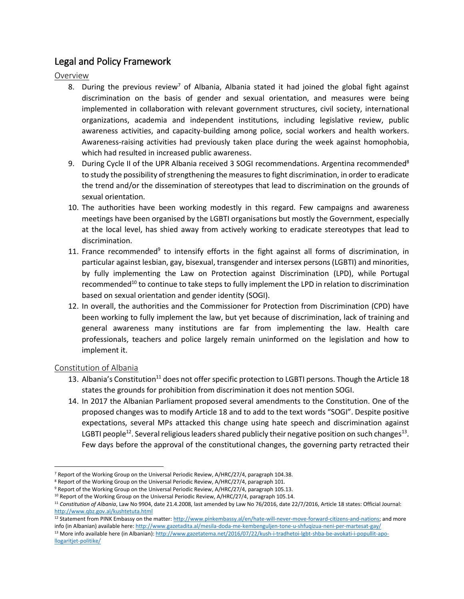# <span id="page-2-0"></span>Legal and Policy Framework

<span id="page-2-1"></span>Overview

- 8. During the previous review<sup>7</sup> of Albania, Albania stated it had joined the global fight against discrimination on the basis of gender and sexual orientation, and measures were being implemented in collaboration with relevant government structures, civil society, international organizations, academia and independent institutions, including legislative review, public awareness activities, and capacity-building among police, social workers and health workers. Awareness-raising activities had previously taken place during the week against homophobia, which had resulted in increased public awareness.
- 9. During Cycle II of the UPR Albania received 3 SOGI recommendations. Argentina recommended<sup>8</sup> to study the possibility of strengthening the measures to fight discrimination, in order to eradicate the trend and/or the dissemination of stereotypes that lead to discrimination on the grounds of sexual orientation.
- 10. The authorities have been working modestly in this regard. Few campaigns and awareness meetings have been organised by the LGBTI organisations but mostly the Government, especially at the local level, has shied away from actively working to eradicate stereotypes that lead to discrimination.
- 11. France recommended<sup>9</sup> to intensify efforts in the fight against all forms of discrimination, in particular against lesbian, gay, bisexual, transgender and intersex persons (LGBTI) and minorities, by fully implementing the Law on Protection against Discrimination (LPD), while Portugal recommended<sup>10</sup> to continue to take steps to fully implement the LPD in relation to discrimination based on sexual orientation and gender identity (SOGI).
- 12. In overall, the authorities and the Commissioner for Protection from Discrimination (CPD) have been working to fully implement the law, but yet because of discrimination, lack of training and general awareness many institutions are far from implementing the law. Health care professionals, teachers and police largely remain uninformed on the legislation and how to implement it.

#### <span id="page-2-2"></span>Constitution of Albania

- 13. Albania's Constitution<sup>11</sup> does not offer specific protection to LGBTI persons. Though the Article 18 states the grounds for prohibition from discrimination it does not mention SOGI.
- 14. In 2017 the Albanian Parliament proposed several amendments to the Constitution. One of the proposed changes was to modify Article 18 and to add to the text words "SOGI". Despite positive expectations, several MPs attacked this change using hate speech and discrimination against LGBTI people<sup>12</sup>. Several religious leaders shared publicly their negative position on such changes<sup>13</sup>. Few days before the approval of the constitutional changes, the governing party retracted their

 $\overline{a}$ <sup>7</sup> Report of the Working Group on the Universal Periodic Review, A/HRC/27/4, paragraph 104.38.

<sup>&</sup>lt;sup>8</sup> Report of the Working Group on the Universal Periodic Review, A/HRC/27/4, paragraph 101.

<sup>9</sup> Report of the Working Group on the Universal Periodic Review, A/HRC/27/4, paragraph 105.13.

<sup>&</sup>lt;sup>10</sup> Report of the Working Group on the Universal Periodic Review, A/HRC/27/4, paragraph 105.14.

<sup>11</sup> *Constitution of Albania*, Law No 9904, date 21.4.2008, last amended by Law No 76/2016, date 22/7/2016, Article 18 states: Official Journal: <http://www.qbz.gov.al/kushtetuta.html>

<sup>&</sup>lt;sup>12</sup> Statement from PINK Embassy on the matter[: http://www.pinkembassy.al/en/hate-will-never-move-forward-citizens-and-nations;](http://www.pinkembassy.al/en/hate-will-never-move-forward-citizens-and-nations) and more info (in Albanian) available here[: http://www.gazetadita.al/mesila-doda-me-kembenguljen-tone-u-shfuqizua-neni-per-martesat-gay/](http://www.gazetadita.al/mesila-doda-me-kembenguljen-tone-u-shfuqizua-neni-per-martesat-gay/) 13 More info available here (in Albanian)[: http://www.gazetatema.net/2016/07/22/kush-i-tradhetoi-lgbt-shba-be-avokati-i-popullit-apo](http://www.gazetatema.net/2016/07/22/kush-i-tradhetoi-lgbt-shba-be-avokati-i-popullit-apo-llogaritjet-politike/)[llogaritjet-politike/](http://www.gazetatema.net/2016/07/22/kush-i-tradhetoi-lgbt-shba-be-avokati-i-popullit-apo-llogaritjet-politike/)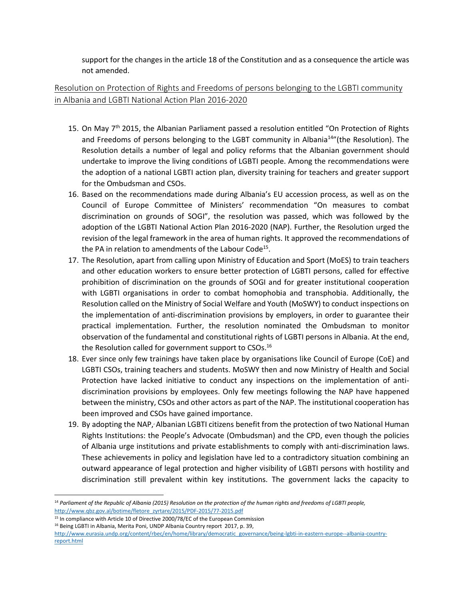support for the changes in the article 18 of the Constitution and as a consequence the article was not amended.

### <span id="page-3-0"></span>Resolution on Protection of Rights and Freedoms of persons belonging to the LGBTI community in Albania and LGBTI National Action Plan 2016-2020

- 15. On May 7<sup>th</sup> 2015, the Albanian Parliament passed a resolution entitled "On Protection of Rights and Freedoms of persons belonging to the LGBT community in Albania<sup>14</sup>"(the Resolution). The Resolution details a number of legal and policy reforms that the Albanian government should undertake to improve the living conditions of LGBTI people. Among the recommendations were the adoption of a national LGBTI action plan, diversity training for teachers and greater support for the Ombudsman and CSOs.
- 16. Based on the recommendations made during Albania's EU accession process, as well as on the Council of Europe Committee of Ministers' recommendation "On measures to combat discrimination on grounds of SOGI", the resolution was passed, which was followed by the adoption of the LGBTI National Action Plan 2016-2020 (NAP). Further, the Resolution urged the revision of the legal framework in the area of human rights. It approved the recommendations of the PA in relation to amendments of the Labour Code<sup>15</sup>.
- 17. The Resolution, apart from calling upon Ministry of Education and Sport (MoES) to train teachers and other education workers to ensure better protection of LGBTI persons, called for effective prohibition of discrimination on the grounds of SOGI and for greater institutional cooperation with LGBTI organisations in order to combat homophobia and transphobia. Additionally, the Resolution called on the Ministry of Social Welfare and Youth (MoSWY) to conduct inspections on the implementation of anti-discrimination provisions by employers, in order to guarantee their practical implementation. Further, the resolution nominated the Ombudsman to monitor observation of the fundamental and constitutional rights of LGBTI persons in Albania. At the end, the Resolution called for government support to CSOs.<sup>16</sup>
- 18. Ever since only few trainings have taken place by organisations like Council of Europe (CoE) and LGBTI CSOs, training teachers and students. MoSWY then and now Ministry of Health and Social Protection have lacked initiative to conduct any inspections on the implementation of antidiscrimination provisions by employees. Only few meetings following the NAP have happened between the ministry, CSOs and other actors as part of the NAP. The institutional cooperation has been improved and CSOs have gained importance.
- 19. By adopting the NAP, Albanian LGBTI citizens benefit from the protection of two National Human Rights Institutions: the People's Advocate (Ombudsman) and the CPD, even though the policies of Albania urge institutions and private establishments to comply with anti-discrimination laws. These achievements in policy and legislation have led to a contradictory situation combining an outward appearance of legal protection and higher visibility of LGBTI persons with hostility and discrimination still prevalent within key institutions. The government lacks the capacity to

l

<sup>14</sup> *Parliament of the Republic of Albania (2015) Resolution on the protection of the human rights and freedoms of LGBTI people,*  [http://www.qbz.gov.al/botime/fletore\\_zyrtare/2015/PDF-2015/77-2015.pdf](http://www.qbz.gov.al/botime/fletore_zyrtare/2015/PDF-2015/77-2015.pdf)

<sup>&</sup>lt;sup>15</sup> In compliance with Article 10 of Directive 2000/78/EC of the European Commission

<sup>16</sup> Being LGBTI in Albania, Merita Poni, UNDP Albania Country report 2017, p. 39,

[http://www.eurasia.undp.org/content/rbec/en/home/library/democratic\\_governance/being-lgbti-in-eastern-europe--albania-country](http://www.eurasia.undp.org/content/rbec/en/home/library/democratic_governance/being-lgbti-in-eastern-europe--albania-country-report.html)[report.html](http://www.eurasia.undp.org/content/rbec/en/home/library/democratic_governance/being-lgbti-in-eastern-europe--albania-country-report.html)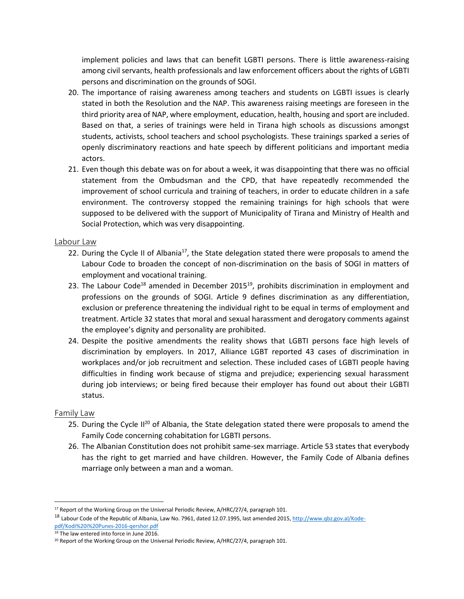implement policies and laws that can benefit LGBTI persons. There is little awareness-raising among civil servants, health professionals and law enforcement officers about the rights of LGBTI persons and discrimination on the grounds of SOGI.

- 20. The importance of raising awareness among teachers and students on LGBTI issues is clearly stated in both the Resolution and the NAP. This awareness raising meetings are foreseen in the third priority area of NAP, where employment, education, health, housing and sport are included. Based on that, a series of trainings were held in Tirana high schools as discussions amongst students, activists, school teachers and school psychologists. These trainings sparked a series of openly discriminatory reactions and hate speech by different politicians and important media actors.
- 21. Even though this debate was on for about a week, it was disappointing that there was no official statement from the Ombudsman and the CPD, that have repeatedly recommended the improvement of school curricula and training of teachers, in order to educate children in a safe environment. The controversy stopped the remaining trainings for high schools that were supposed to be delivered with the support of Municipality of Tirana and Ministry of Health and Social Protection, which was very disappointing.

#### <span id="page-4-0"></span>Labour Law

- 22. During the Cycle II of Albania<sup>17</sup>, the State delegation stated there were proposals to amend the Labour Code to broaden the concept of non-discrimination on the basis of SOGI in matters of employment and vocational training.
- 23. The Labour Code<sup>18</sup> amended in December 2015<sup>19</sup>, prohibits discrimination in employment and professions on the grounds of SOGI. Article 9 defines discrimination as any differentiation, exclusion or preference threatening the individual right to be equal in terms of employment and treatment. Article 32 states that moral and sexual harassment and derogatory comments against the employee's dignity and personality are prohibited.
- 24. Despite the positive amendments the reality shows that LGBTI persons face high levels of discrimination by employers. In 2017, Alliance LGBT reported 43 cases of discrimination in workplaces and/or job recruitment and selection. These included cases of LGBTI people having difficulties in finding work because of stigma and prejudice; experiencing sexual harassment during job interviews; or being fired because their employer has found out about their LGBTI status.

#### <span id="page-4-1"></span>Family Law

- 25. During the Cycle II<sup>20</sup> of Albania, the State delegation stated there were proposals to amend the Family Code concerning cohabitation for LGBTI persons.
- 26. The Albanian Constitution does not prohibit same-sex marriage. Article 53 states that everybody has the right to get married and have children. However, the Family Code of Albania defines marriage only between a man and a woman.

 $\overline{\phantom{a}}$ <sup>17</sup> Report of the Working Group on the Universal Periodic Review, A/HRC/27/4, paragraph 101.

<sup>&</sup>lt;sup>18</sup> Labour Code of the Republic of Albania, Law No. 7961, dated 12.07.1995, last amended 2015[, http://www.qbz.gov.al/Kode](http://www.qbz.gov.al/Kode-pdf/Kodi%20i%20Punes-2016-qershor.pdf)[pdf/Kodi%20i%20Punes-2016-qershor.pdf](http://www.qbz.gov.al/Kode-pdf/Kodi%20i%20Punes-2016-qershor.pdf)

<sup>19</sup> The law entered into force in June 2016.

<sup>&</sup>lt;sup>20</sup> Report of the Working Group on the Universal Periodic Review, A/HRC/27/4, paragraph 101.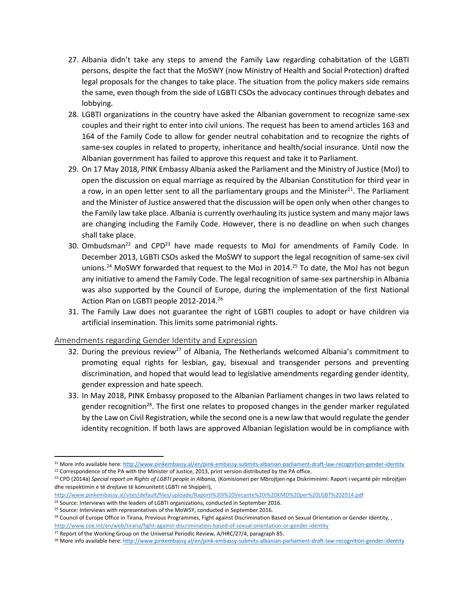- 27. Albania didn't take any steps to amend the Family Law regarding cohabitation of the LGBTI persons, despite the fact that the MoSWY (now Ministry of Health and Social Protection) drafted legal proposals for the changes to take place. The situation from the policy makers side remains the same, even though from the side of LGBTI CSOs the advocacy continues through debates and lobbying.
- 28. LGBTI organizations in the country have asked the Albanian government to recognize same-sex couples and their right to enter into civil unions. The request has been to amend articles 163 and 164 of the Family Code to allow for gender neutral cohabitation and to recognize the rights of same-sex couples in related to property, inheritance and health/social insurance. Until now the Albanian government has failed to approve this request and take it to Parliament.
- 29. On 17 May 2018, PINK Embassy Albania asked the Parliament and the Ministry of Justice (MoJ) to open the discussion on equal marriage as required by the Albanian Constitution for third year in a row, in an open letter sent to all the parliamentary groups and the Minister $^{21}$ . The Parliament and the Minister of Justice answered that the discussion will be open only when other changes to the Family law take place. Albania is currently overhauling its justice system and many major laws are changing including the Family Code. However, there is no deadline on when such changes shall take place.
- 30. Ombudsman<sup>22</sup> and CPD<sup>23</sup> have made requests to MoJ for amendments of Family Code. In December 2013, LGBTI CSOs asked the MoSWY to support the legal recognition of same-sex civil unions.<sup>24</sup> MoSWY forwarded that request to the MoJ in 2014.<sup>25</sup> To date, the MoJ has not begun any initiative to amend the Family Code. The legal recognition of same-sex partnership in Albania was also supported by the Council of Europe, during the implementation of the first National Action Plan on LGBTI people 2012-2014.<sup>26</sup>
- 31. The Family Law does not guarantee the right of LGBTI couples to adopt or have children via artificial insemination. This limits some patrimonial rights.

#### <span id="page-5-0"></span>Amendments regarding Gender Identity and Expression

- 32. During the previous review<sup>27</sup> of Albania, The Netherlands welcomed Albania's commitment to promoting equal rights for lesbian, gay, bisexual and transgender persons and preventing discrimination, and hoped that would lead to legislative amendments regarding gender identity, gender expression and hate speech.
- 33. In May 2018, PINK Embassy proposed to the Albanian Parliament changes in two laws related to gender recognition<sup>28</sup>. The first one relates to proposed changes in the gender marker regulated by the Law on Civil Registration, while the second one is a new law that would regulate the gender identity recognition. If both laws are approved Albanian legislation would be in compliance with

 $\overline{\phantom{a}}$ 

<sup>&</sup>lt;sup>21</sup> More info available here[: http://www.pinkembassy.al/en/pink-embassy-submits-albanian-parliament-draft-law-recognition-gender-identity](http://www.pinkembassy.al/en/pink-embassy-submits-albanian-parliament-draft-law-recognition-gender-identity)  $22$  Correspondence of the PA with the Minister of Justice, 2013, print version distributed by the PA office.

<sup>23</sup> CPD (2014a) *Special report on Rights of LGBTI people in Albania,* (Komisioneri per Mbrojtjen nga Diskriminimi: Raport i veçantë për mbrojtjen dhe respektimin e të drejtave të komunitetit LGBTI në Shqipëri),

<http://www.pinkembassy.al/sites/default/files/uploade/Raporti%20i%20Vecante%20i%20KMD%20per%20LGBT%202014.pdf>

<sup>&</sup>lt;sup>24</sup> Source: Interviews with the leaders of LGBTI organizations, conducted in September 2016.

<sup>&</sup>lt;sup>25</sup> Source: Interviews with representatives of the MoWSY, conducted in September 2016.

<sup>&</sup>lt;sup>26</sup> Council of Europe Office in Tirana, Previous Programmes, Fight against Discrimination Based on Sexual Orientation or Gender Identity,,

<http://www.coe.int/en/web/tirana/fight-against-discrimination-based-of-sexual-orientation-or-gender-identity>

<sup>&</sup>lt;sup>27</sup> Report of the Working Group on the Universal Periodic Review, A/HRC/27/4, paragraph 85.

<sup>&</sup>lt;sup>28</sup> More info available here[: http://www.pinkembassy.al/en/pink-embassy-submits-albanian-parliament-draft-law-recognition-gender-identity](http://www.pinkembassy.al/en/pink-embassy-submits-albanian-parliament-draft-law-recognition-gender-identity)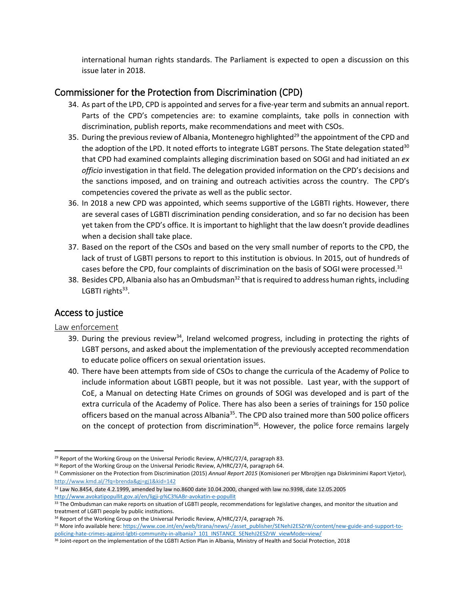international human rights standards. The Parliament is expected to open a discussion on this issue later in 2018.

# <span id="page-6-0"></span>Commissioner for the Protection from Discrimination (CPD)

- 34. As part of the LPD, CPD is appointed and serves for a five-year term and submits an annual report. Parts of the CPD's competencies are: to examine complaints, take polls in connection with discrimination, publish reports, make recommendations and meet with CSOs.
- 35. During the previous review of Albania, Montenegro highlighted<sup>29</sup> the appointment of the CPD and the adoption of the LPD. It noted efforts to integrate LGBT persons. The State delegation stated<sup>30</sup> that CPD had examined complaints alleging discrimination based on SOGI and had initiated an *ex officio* investigation in that field. The delegation provided information on the CPD's decisions and the sanctions imposed, and on training and outreach activities across the country. The CPD's competencies covered the private as well as the public sector.
- 36. In 2018 a new CPD was appointed, which seems supportive of the LGBTI rights. However, there are several cases of LGBTI discrimination pending consideration, and so far no decision has been yet taken from the CPD's office. It is important to highlight that the law doesn't provide deadlines when a decision shall take place.
- 37. Based on the report of the CSOs and based on the very small number of reports to the CPD, the lack of trust of LGBTI persons to report to this institution is obvious. In 2015, out of hundreds of cases before the CPD, four complaints of discrimination on the basis of SOGI were processed.<sup>31</sup>
- 38. Besides CPD, Albania also has an Ombudsman<sup>32</sup> that is required to address human rights, including LGBTI rights<sup>33</sup>.

# <span id="page-6-1"></span>Access to justice

#### <span id="page-6-2"></span>Law enforcement

- 39. During the previous review<sup>34</sup>, Ireland welcomed progress, including in protecting the rights of LGBT persons, and asked about the implementation of the previously accepted recommendation to educate police officers on sexual orientation issues.
- 40. There have been attempts from side of CSOs to change the curricula of the Academy of Police to include information about LGBTI people, but it was not possible. Last year, with the support of CoE, a Manual on detecting Hate Crimes on grounds of SOGI was developed and is part of the extra curricula of the Academy of Police. There has also been a series of trainings for 150 police officers based on the manual across Albania<sup>35</sup>. The CPD also trained more than 500 police officers on the concept of protection from discrimination<sup>36</sup>. However, the police force remains largely

<sup>32</sup> Law No.8454, date 4.2.1999, amended by law no.8600 date 10.04.2000, changed with law no.9398, date 12.05.2005 <http://www.avokatipopullit.gov.al/en/ligji-p%C3%ABr-avokatin-e-popullit>

 $\overline{a}$ <sup>29</sup> Report of the Working Group on the Universal Periodic Review, A/HRC/27/4, paragraph 83.

<sup>&</sup>lt;sup>30</sup> Report of the Working Group on the Universal Periodic Review, A/HRC/27/4, paragraph 64.

<sup>31</sup> Commissioner on the Protection from Discrimination (2015) *Annual Report 2015* (Komisioneri per Mbrojtjen nga Diskriminimi Raport Vjetor), http://www.kmd.al/?fq=brenda&gj=gj1&kid=142

<sup>33</sup> The Ombudsman can make reports on situation of LGBTI people, recommendations for legislative changes, and monitor the situation and treatment of LGBTI people by public institutions.

<sup>&</sup>lt;sup>34</sup> Report of the Working Group on the Universal Periodic Review, A/HRC/27/4, paragraph 76.

<sup>35</sup> More info available here[: https://www.coe.int/en/web/tirana/news/-/asset\\_publisher/SENehJ2ESZrW/content/new-guide-and-support-to](https://www.coe.int/en/web/tirana/news/-/asset_publisher/SENehJ2ESZrW/content/new-guide-and-support-to-policing-hate-crimes-against-lgbti-community-in-albania?_101_INSTANCE_SENehJ2ESZrW_viewMode=view/)policing-hate-crimes-against-lgbti-community-in-albania? 101 INSTANCE\_SENehJ2ESZrW\_viewMode=view/

<sup>&</sup>lt;sup>36</sup> Joint-report on the implementation of the LGBTI Action Plan in Albania, Ministry of Health and Social Protection, 2018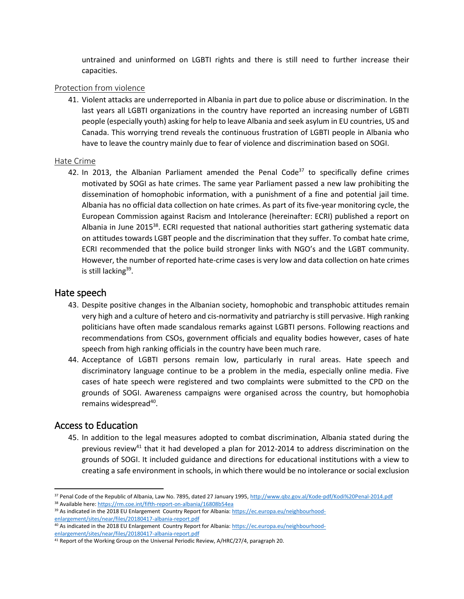untrained and uninformed on LGBTI rights and there is still need to further increase their capacities.

#### <span id="page-7-0"></span>Protection from violence

41. Violent attacks are underreported in Albania in part due to police abuse or discrimination. In the last years all LGBTI organizations in the country have reported an increasing number of LGBTI people (especially youth) asking for help to leave Albania and seek asylum in EU countries, US and Canada. This worrying trend reveals the continuous frustration of LGBTI people in Albania who have to leave the country mainly due to fear of violence and discrimination based on SOGI.

#### <span id="page-7-1"></span>Hate Crime

42. In 2013, the Albanian Parliament amended the Penal Code<sup>37</sup> to specifically define crimes motivated by SOGI as hate crimes. The same year Parliament passed a new law prohibiting the dissemination of homophobic information, with a punishment of a fine and potential jail time. Albania has no official data collection on hate crimes. As part of its five-year monitoring cycle, the European Commission against Racism and Intolerance (hereinafter: ECRI) published a report on Albania in June 2015<sup>38</sup>. ECRI requested that national authorities start gathering systematic data on attitudes towards LGBT people and the discrimination that they suffer. To combat hate crime, ECRI recommended that the police build stronger links with NGO's and the LGBT community. However, the number of reported hate-crime cases is very low and data collection on hate crimes is still lacking<sup>39</sup>.

### <span id="page-7-2"></span>Hate speech

- 43. Despite positive changes in the Albanian society, homophobic and transphobic attitudes remain very high and a culture of hetero and cis-normativity and patriarchy is still pervasive. High ranking politicians have often made scandalous remarks against LGBTI persons. Following reactions and recommendations from CSOs, government officials and equality bodies however, cases of hate speech from high ranking officials in the country have been much rare.
- 44. Acceptance of LGBTI persons remain low, particularly in rural areas. Hate speech and discriminatory language continue to be a problem in the media, especially online media. Five cases of hate speech were registered and two complaints were submitted to the CPD on the grounds of SOGI. Awareness campaigns were organised across the country, but homophobia remains widespread<sup>40</sup>.

### <span id="page-7-3"></span>Access to Education

 $\overline{a}$ 

45. In addition to the legal measures adopted to combat discrimination, Albania stated during the previous review<sup>41</sup> that it had developed a plan for 2012-2014 to address discrimination on the grounds of SOGI. It included guidance and directions for educational institutions with a view to creating a safe environment in schools, in which there would be no intolerance or social exclusion

<sup>37</sup> Penal Code of the Republic of Albania, Law No. 7895, dated 27 January 1995[, http://www.qbz.gov.al/Kode-pdf/Kodi%20Penal-2014.pdf](http://www.qbz.gov.al/Kode-pdf/Kodi%20Penal-2014.pdf) <sup>38</sup> Available here[: https://rm.coe.int/fifth-report-on-albania/16808b54ea](https://rm.coe.int/fifth-report-on-albania/16808b54ea)

<sup>&</sup>lt;sup>39</sup> As indicated in the 2018 EU Enlargement Country Report for Albania[: https://ec.europa.eu/neighbourhood](https://ec.europa.eu/neighbourhood-enlargement/sites/near/files/20180417-albania-report.pdf)[enlargement/sites/near/files/20180417-albania-report.pdf](https://ec.europa.eu/neighbourhood-enlargement/sites/near/files/20180417-albania-report.pdf)

<sup>40</sup> As indicated in the 2018 EU Enlargement Country Report for Albania[: https://ec.europa.eu/neighbourhood](https://ec.europa.eu/neighbourhood-enlargement/sites/near/files/20180417-albania-report.pdf)[enlargement/sites/near/files/20180417-albania-report.pdf](https://ec.europa.eu/neighbourhood-enlargement/sites/near/files/20180417-albania-report.pdf)

<sup>&</sup>lt;sup>41</sup> Report of the Working Group on the Universal Periodic Review, A/HRC/27/4, paragraph 20.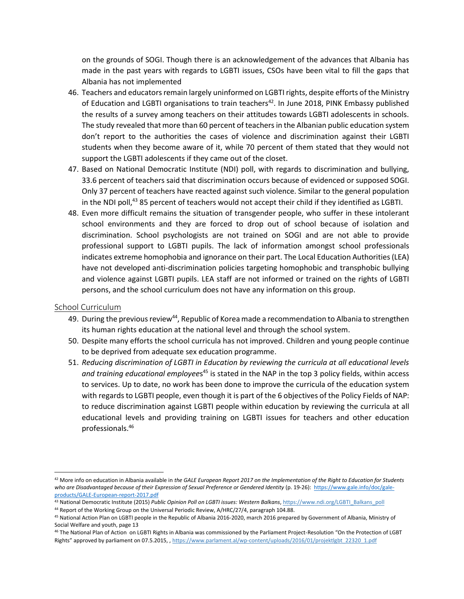on the grounds of SOGI. Though there is an acknowledgement of the advances that Albania has made in the past years with regards to LGBTI issues, CSOs have been vital to fill the gaps that Albania has not implemented

- 46. Teachers and educators remain largely uninformed on LGBTI rights, despite efforts of the Ministry of Education and LGBTI organisations to train teachers<sup>42</sup>. In June 2018, PINK Embassy published the results of a survey among teachers on their attitudes towards LGBTI adolescents in schools. The study revealed that more than 60 percent of teachers in the Albanian public education system don't report to the authorities the cases of violence and discrimination against their LGBTI students when they become aware of it, while 70 percent of them stated that they would not support the LGBTI adolescents if they came out of the closet.
- 47. Based on National Democratic Institute (NDI) poll, with regards to discrimination and bullying, 33.6 percent of teachers said that discrimination occurs because of evidenced or supposed SOGI. Only 37 percent of teachers have reacted against such violence. Similar to the general population in the NDI poll, $43$  85 percent of teachers would not accept their child if they identified as LGBTI.
- 48. Even more difficult remains the situation of transgender people, who suffer in these intolerant school environments and they are forced to drop out of school because of isolation and discrimination. School psychologists are not trained on SOGI and are not able to provide professional support to LGBTI pupils. The lack of information amongst school professionals indicates extreme homophobia and ignorance on their part. The Local Education Authorities (LEA) have not developed anti-discrimination policies targeting homophobic and transphobic bullying and violence against LGBTI pupils. LEA staff are not informed or trained on the rights of LGBTI persons, and the school curriculum does not have any information on this group.

#### <span id="page-8-0"></span>School Curriculum

- 49. During the previous review<sup>44</sup>, Republic of Korea made a recommendation to Albania to strengthen its human rights education at the national level and through the school system.
- 50. Despite many efforts the school curricula has not improved. Children and young people continue to be deprived from adequate sex education programme.
- 51. *Reducing discrimination of LGBTI in Education by reviewing the curricula at all educational levels*  and training educational employees<sup>45</sup> is stated in the NAP in the top 3 policy fields, within access to services. Up to date, no work has been done to improve the curricula of the education system with regards to LGBTI people, even though it is part of the 6 objectives of the Policy Fields of NAP: to reduce discrimination against LGBTI people within education by reviewing the curricula at all educational levels and providing training on LGBTI issues for teachers and other education professionals. 46

 $\overline{\phantom{a}}$ <sup>42</sup> More info on education in Albania available in *the GALE European Report 2017 on the Implementation of the Right to Education for Students who are Disadvantaged because of their Expression of Sexual Preference or Gendered Identity* (p. 19-26): [https://www.gale.info/doc/gale](https://www.gale.info/doc/gale-products/GALE-European-report-2017.pdf)[products/GALE-European-report-2017.pdf](https://www.gale.info/doc/gale-products/GALE-European-report-2017.pdf)

<sup>43</sup> National Democratic Institute (2015) *Public Opinion Poll on LGBTI issues: Western Balkans*[, https://www.ndi.org/LGBTI\\_Balkans\\_poll](https://www.ndi.org/LGBTI_Balkans_poll) <sup>44</sup> Report of the Working Group on the Universal Periodic Review, A/HRC/27/4, paragraph 104.88.

<sup>45</sup> National Action Plan on LGBTI people in the Republic of Albania 2016-2020, march 2016 prepared by Government of Albania, Ministry of Social Welfare and youth, page 13

<sup>46</sup> The National Plan of Action on LGBTI Rights in Albania was commissioned by the Parliament Project-Resolution "On the Protection of LGBT Rights" approved by parliament on 07.5.2015, , [https://www.parlament.al/wp-content/uploads/2016/01/projektlgbt\\_22320\\_1.pdf](https://www.parlament.al/wp-content/uploads/2016/01/projektlgbt_22320_1.pdf)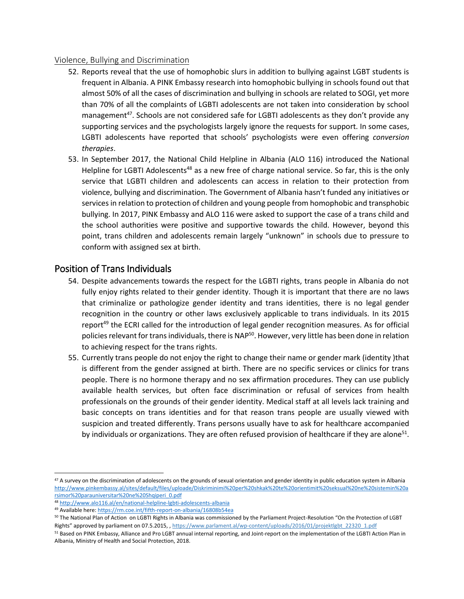#### <span id="page-9-0"></span>Violence, Bullying and Discrimination

- 52. Reports reveal that the use of homophobic slurs in addition to bullying against LGBT students is frequent in Albania. A PINK Embassy research into homophobic bullying in schools found out that almost 50% of all the cases of discrimination and bullying in schools are related to SOGI, yet more than 70% of all the complaints of LGBTI adolescents are not taken into consideration by school management<sup>47</sup>. Schools are not considered safe for LGBTI adolescents as they don't provide any supporting services and the psychologists largely ignore the requests for support. In some cases, LGBTI adolescents have reported that schools' psychologists were even offering *conversion therapies*.
- 53. In September 2017, the National Child Helpline in Albania (ALO 116) introduced the National Helpline for LGBTI Adolescents<sup>48</sup> as a new free of charge national service. So far, this is the only service that LGBTI children and adolescents can access in relation to their protection from violence, bullying and discrimination. The Government of Albania hasn't funded any initiatives or services in relation to protection of children and young people from homophobic and transphobic bullying. In 2017, PINK Embassy and ALO 116 were asked to support the case of a trans child and the school authorities were positive and supportive towards the child. However, beyond this point, trans children and adolescents remain largely "unknown" in schools due to pressure to conform with assigned sex at birth.

### <span id="page-9-1"></span>Position of Trans Individuals

- 54. Despite advancements towards the respect for the LGBTI rights, trans people in Albania do not fully enjoy rights related to their gender identity. Though it is important that there are no laws that criminalize or pathologize gender identity and trans identities, there is no legal gender recognition in the country or other laws exclusively applicable to trans individuals. In its 2015 report<sup>49</sup> the ECRI called for the introduction of legal gender recognition measures. As for official policies relevant for trans individuals, there is NAP<sup>50</sup>. However, very little has been done in relation to achieving respect for the trans rights.
- 55. Currently trans people do not enjoy the right to change their name or gender mark (identity )that is different from the gender assigned at birth. There are no specific services or clinics for trans people. There is no hormone therapy and no sex affirmation procedures. They can use publicly available health services, but often face discrimination or refusal of services from health professionals on the grounds of their gender identity. Medical staff at all levels lack training and basic concepts on trans identities and for that reason trans people are usually viewed with suspicion and treated differently. Trans persons usually have to ask for healthcare accompanied by individuals or organizations. They are often refused provision of healthcare if they are alone<sup>51</sup>.

 $\overline{a}$ 

 $47$  A survey on the discrimination of adolescents on the grounds of sexual orientation and gender identity in public education system in Albania [http://www.pinkembassy.al/sites/default/files/uploade/Diskriminimi%20per%20shkak%20te%20orientimit%20seksual%20ne%20sistemin%20a](http://www.pinkembassy.al/sites/default/files/uploade/Diskriminimi%20per%20shkak%20te%20orientimit%20seksual%20ne%20sistemin%20arsimor%20parauniversitar%20ne%20Shqiperi_0.pdf) [rsimor%20parauniversitar%20ne%20Shqiperi\\_0.pdf](http://www.pinkembassy.al/sites/default/files/uploade/Diskriminimi%20per%20shkak%20te%20orientimit%20seksual%20ne%20sistemin%20arsimor%20parauniversitar%20ne%20Shqiperi_0.pdf)

<sup>48</sup> <http://www.alo116.al/en/national-helpline-lgbti-adolescents-albania>

<sup>49</sup> Available here[: https://rm.coe.int/fifth-report-on-albania/16808b54ea](https://rm.coe.int/fifth-report-on-albania/16808b54ea)

<sup>50</sup> The National Plan of Action on LGBTI Rights in Albania was commissioned by the Parliament Project-Resolution "On the Protection of LGBT Rights" approved by parliament on 07.5.2015, , [https://www.parlament.al/wp-content/uploads/2016/01/projektlgbt\\_22320\\_1.pdf](https://www.parlament.al/wp-content/uploads/2016/01/projektlgbt_22320_1.pdf)

<sup>51</sup> Based on PINK Embassy, Alliance and Pro LGBT annual internal reporting, and Joint-report on the implementation of the LGBTI Action Plan in Albania, Ministry of Health and Social Protection, 2018.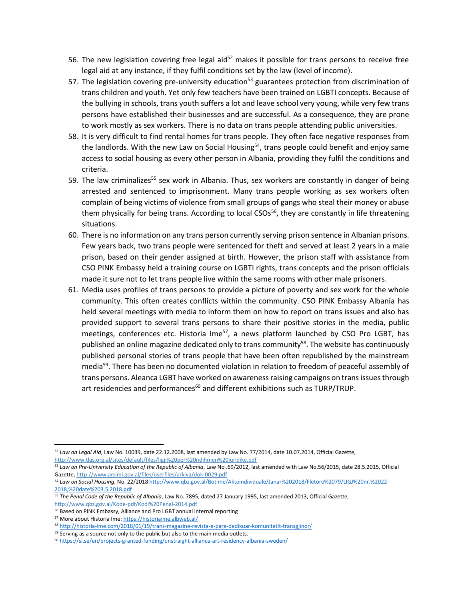- 56. The new legislation covering free legal aid<sup>52</sup> makes it possible for trans persons to receive free legal aid at any instance, if they fulfil conditions set by the law (level of income).
- 57. The legislation covering pre-university education<sup>53</sup> guarantees protection from discrimination of trans children and youth. Yet only few teachers have been trained on LGBTI concepts. Because of the bullying in schools, trans youth suffers a lot and leave school very young, while very few trans persons have established their businesses and are successful. As a consequence, they are prone to work mostly as sex workers. There is no data on trans people attending public universities.
- 58. It is very difficult to find rental homes for trans people. They often face negative responses from the landlords. With the new Law on Social Housing<sup>54</sup>, trans people could benefit and enjoy same access to social housing as every other person in Albania, providing they fulfil the conditions and criteria.
- 59. The law criminalizes<sup>55</sup> sex work in Albania. Thus, sex workers are constantly in danger of being arrested and sentenced to imprisonment. Many trans people working as sex workers often complain of being victims of violence from small groups of gangs who steal their money or abuse them physically for being trans. According to local CSOs<sup>56</sup>, they are constantly in life threatening situations.
- 60. There is no information on any trans person currently serving prison sentence in Albanian prisons. Few years back, two trans people were sentenced for theft and served at least 2 years in a male prison, based on their gender assigned at birth. However, the prison staff with assistance from CSO PINK Embassy held a training course on LGBTI rights, trans concepts and the prison officials made it sure not to let trans people live within the same rooms with other male prisoners.
- 61. Media uses profiles of trans persons to provide a picture of poverty and sex work for the whole community. This often creates conflicts within the community. CSO PINK Embassy Albania has held several meetings with media to inform them on how to report on trans issues and also has provided support to several trans persons to share their positive stories in the media, public meetings, conferences etc. Historia Ime $57$ , a news platform launched by CSO Pro LGBT, has published an online magazine dedicated only to trans community<sup>58</sup>. The website has continuously published personal stories of trans people that have been often republished by the mainstream media<sup>59</sup>. There has been no documented violation in relation to freedom of peaceful assembly of trans persons. Aleanca LGBT have worked on awareness raising campaigns on trans issues through art residencies and performances<sup>60</sup> and different exhibitions such as TURP/TRUP.

 $\overline{a}$ <sup>52</sup> *Law on Legal Aid*, Law No. 10039, date 22.12.2008, last amended by Law No. 77/2014, date 10.07.2014, Official Gazette, <http://www.tlas.org.al/sites/default/files/ligji%20per%20ndihmen%20juridike.pdf>

<sup>53</sup> *Law on Pre-University Education of the Republic of Albania*, Law No .69/2012, last amended with Law No.56/2015, date 28.5.2015, Official Gazette[, http://www.arsimi.gov.al/files/userfiles/arkiva/dok-0029.pdf](http://www.arsimi.gov.al/files/userfiles/arkiva/dok-0029.pdf)

<sup>54</sup> *Law on Social Housing*, No. 22/201[8 http://www.qbz.gov.al/Botime/Akteindividuale/Janar%202018/Fletore%2079/LIGJ%20nr.%2022-](http://www.qbz.gov.al/Botime/Akteindividuale/Janar%202018/Fletore%2079/LIGJ%20nr.%2022-2018,%20date%203.5.2018.pdf) [2018,%20date%203.5.2018.pdf](http://www.qbz.gov.al/Botime/Akteindividuale/Janar%202018/Fletore%2079/LIGJ%20nr.%2022-2018,%20date%203.5.2018.pdf)

<sup>55</sup> *The Penal Code of the Republic of Albania*, Law No. 7895, dated 27 January 1995, last amended 2013, Official Gazette, <http://www.qbz.gov.al/Kode-pdf/Kodi%20Penal-2014.pdf>

<sup>56</sup> Based on PINK Embassy, Alliance and Pro LGBT annual internal reporting

<sup>57</sup> More about Historia Ime[: https://historiaime.albweb.al/](https://historiaime.albweb.al/)

<sup>58</sup> <http://historia-ime.com/2018/01/19/trans-magazine-revista-e-pare-dedikuar-komunitetit-transgjinor/>

<sup>&</sup>lt;sup>59</sup> Serving as a source not only to the public but also to the main media outlets.

<sup>60</sup> <https://si.se/en/projects-granted-funding/unstraight-alliance-art-residency-albania-sweden/>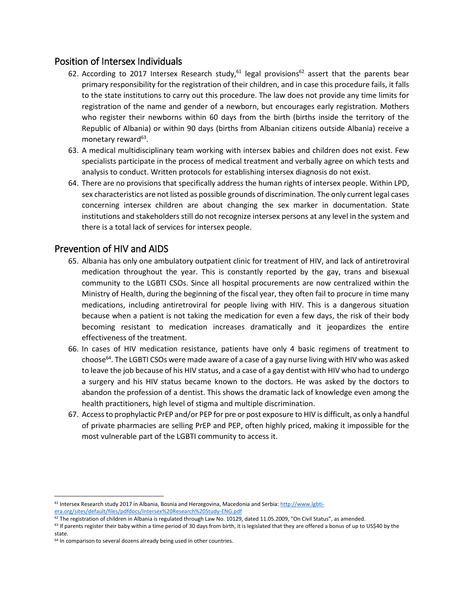### <span id="page-11-0"></span>Position of Intersex Individuals

- 62. According to 2017 Intersex Research study, $61$  legal provisions<sup>62</sup> assert that the parents bear primary responsibility for the registration of their children, and in case this procedure fails, it falls to the state institutions to carry out this procedure. The law does not provide any time limits for registration of the name and gender of a newborn, but encourages early registration. Mothers who register their newborns within 60 days from the birth (births inside the territory of the Republic of Albania) or within 90 days (births from Albanian citizens outside Albania) receive a monetary reward<sup>63</sup>.
- 63. A medical multidisciplinary team working with intersex babies and children does not exist. Few specialists participate in the process of medical treatment and verbally agree on which tests and analysis to conduct. Written protocols for establishing intersex diagnosis do not exist.
- 64. There are no provisions that specifically address the human rights of intersex people. Within LPD, sex characteristics are not listed as possible grounds of discrimination. The only current legal cases concerning intersex children are about changing the sex marker in documentation. State institutions and stakeholders still do not recognize intersex persons at any level in the system and there is a total lack of services for intersex people.

### <span id="page-11-1"></span>Prevention of HIV and AIDS

- 65. Albania has only one ambulatory outpatient clinic for treatment of HIV, and lack of antiretroviral medication throughout the year. This is constantly reported by the gay, trans and bisexual community to the LGBTI CSOs. Since all hospital procurements are now centralized within the Ministry of Health, during the beginning of the fiscal year, they often fail to procure in time many medications, including antiretroviral for people living with HIV. This is a dangerous situation because when a patient is not taking the medication for even a few days, the risk of their body becoming resistant to medication increases dramatically and it jeopardizes the entire effectiveness of the treatment.
- 66. In cases of HIV medication resistance, patients have only 4 basic regimens of treatment to choose<sup>64</sup>. The LGBTI CSOs were made aware of a case of a gay nurse living with HIV who was asked to leave the job because of his HIV status, and a case of a gay dentist with HIV who had to undergo a surgery and his HIV status became known to the doctors. He was asked by the doctors to abandon the profession of a dentist. This shows the dramatic lack of knowledge even among the health practitioners, high level of stigma and multiple discrimination.
- 67. Access to prophylactic PrEP and/or PEP for pre or post exposure to HIV is difficult, as only a handful of private pharmacies are selling PrEP and PEP, often highly priced, making it impossible for the most vulnerable part of the LGBTI community to access it.

 $\overline{\phantom{a}}$ 

<sup>61</sup> Intersex Research study 2017 in Albania, Bosnia and Herzegovina, Macedonia and Serbia[: http://www.lgbti](http://www.lgbti-era.org/sites/default/files/pdfdocs/Intersex%20Research%20Study-ENG.pdf)[era.org/sites/default/files/pdfdocs/Intersex%20Research%20Study-ENG.pdf](http://www.lgbti-era.org/sites/default/files/pdfdocs/Intersex%20Research%20Study-ENG.pdf)

 $62$  The registration of children in Albania is regulated through Law No. 10129, dated 11.05.2009, "On Civil Status", as amended.

<sup>&</sup>lt;sup>63</sup> If parents register their baby within a time period of 30 days from birth, it is legislated that they are offered a bonus of up to US\$40 by the state.

<sup>&</sup>lt;sup>64</sup> In comparison to several dozens already being used in other countries.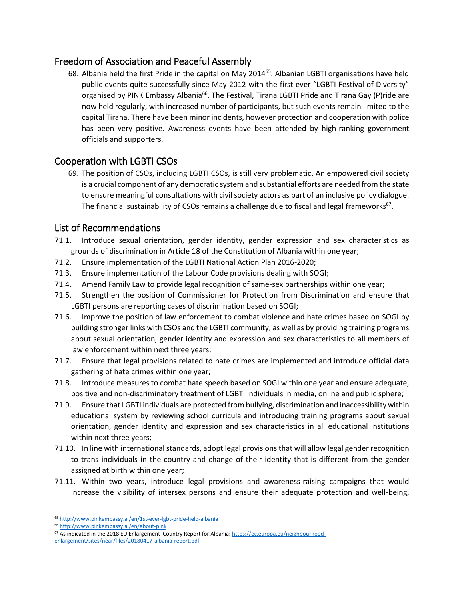# <span id="page-12-0"></span>Freedom of Association and Peaceful Assembly

68. Albania held the first Pride in the capital on May 2014<sup>65</sup>. Albanian LGBTI organisations have held public events quite successfully since May 2012 with the first ever "LGBTI Festival of Diversity" organised by PINK Embassy Albania<sup>66</sup>. The Festival, Tirana LGBTI Pride and Tirana Gay (P)ride are now held regularly, with increased number of participants, but such events remain limited to the capital Tirana. There have been minor incidents, however protection and cooperation with police has been very positive. Awareness events have been attended by high-ranking government officials and supporters.

# <span id="page-12-1"></span>Cooperation with LGBTI CSOs

69. The position of CSOs, including LGBTI CSOs, is still very problematic. An empowered civil society is a crucial component of any democratic system and substantial efforts are needed from the state to ensure meaningful consultations with civil society actors as part of an inclusive policy dialogue. The financial sustainability of CSOs remains a challenge due to fiscal and legal frameworks<sup>67</sup>.

### <span id="page-12-2"></span>List of Recommendations

- 71.1. Introduce sexual orientation, gender identity, gender expression and sex characteristics as grounds of discrimination in Article 18 of the Constitution of Albania within one year;
- 71.2. Ensure implementation of the LGBTI National Action Plan 2016-2020;
- 71.3. Ensure implementation of the Labour Code provisions dealing with SOGI;
- 71.4. Amend Family Law to provide legal recognition of same-sex partnerships within one year;
- 71.5. Strengthen the position of Commissioner for Protection from Discrimination and ensure that LGBTI persons are reporting cases of discrimination based on SOGI;
- 71.6. Improve the position of law enforcement to combat violence and hate crimes based on SOGI by building stronger links with CSOs and the LGBTI community, as well as by providing training programs about sexual orientation, gender identity and expression and sex characteristics to all members of law enforcement within next three years;
- 71.7. Ensure that legal provisions related to hate crimes are implemented and introduce official data gathering of hate crimes within one year;
- 71.8. Introduce measures to combat hate speech based on SOGI within one year and ensure adequate, positive and non-discriminatory treatment of LGBTI individuals in media, online and public sphere;
- 71.9. Ensure that LGBTI individuals are protected from bullying, discrimination and inaccessibility within educational system by reviewing school curricula and introducing training programs about sexual orientation, gender identity and expression and sex characteristics in all educational institutions within next three years;
- 71.10. In line with international standards, adopt legal provisions that will allow legal gender recognition to trans individuals in the country and change of their identity that is different from the gender assigned at birth within one year;
- 71.11. Within two years, introduce legal provisions and awareness-raising campaigns that would increase the visibility of intersex persons and ensure their adequate protection and well-being,

l

<sup>65</sup> <http://www.pinkembassy.al/en/1st-ever-lgbt-pride-held-albania>

<sup>66</sup> <http://www.pinkembassy.al/en/about-pink>

<sup>67</sup> As indicated in the 2018 EU Enlargement Country Report for Albania[: https://ec.europa.eu/neighbourhood](https://ec.europa.eu/neighbourhood-enlargement/sites/near/files/20180417-albania-report.pdf)[enlargement/sites/near/files/20180417-albania-report.pdf](https://ec.europa.eu/neighbourhood-enlargement/sites/near/files/20180417-albania-report.pdf)